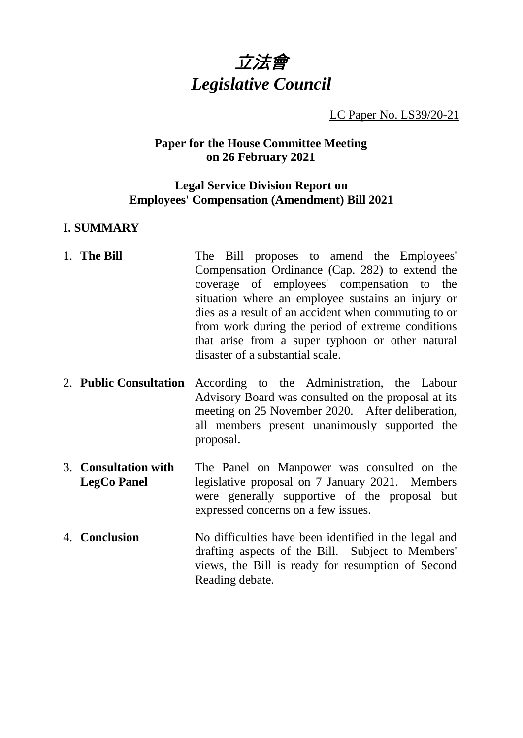

LC Paper No. LS39/20-21

# **Paper for the House Committee Meeting on 26 February 2021**

# **Legal Service Division Report on Employees' Compensation (Amendment) Bill 2021**

# **I. SUMMARY**

- 1. **The Bill** The Bill proposes to amend the Employees' Compensation Ordinance (Cap. 282) to extend the coverage of employees' compensation to the situation where an employee sustains an injury or dies as a result of an accident when commuting to or from work during the period of extreme conditions that arise from a super typhoon or other natural disaster of a substantial scale.
- 2. **Public Consultation** According to the Administration, the Labour Advisory Board was consulted on the proposal at its meeting on 25 November 2020. After deliberation, all members present unanimously supported the proposal.
- 3. **Consultation with LegCo Panel** The Panel on Manpower was consulted on the legislative proposal on 7 January 2021. Members were generally supportive of the proposal but expressed concerns on a few issues.
- 4. **Conclusion** No difficulties have been identified in the legal and drafting aspects of the Bill. Subject to Members' views, the Bill is ready for resumption of Second Reading debate.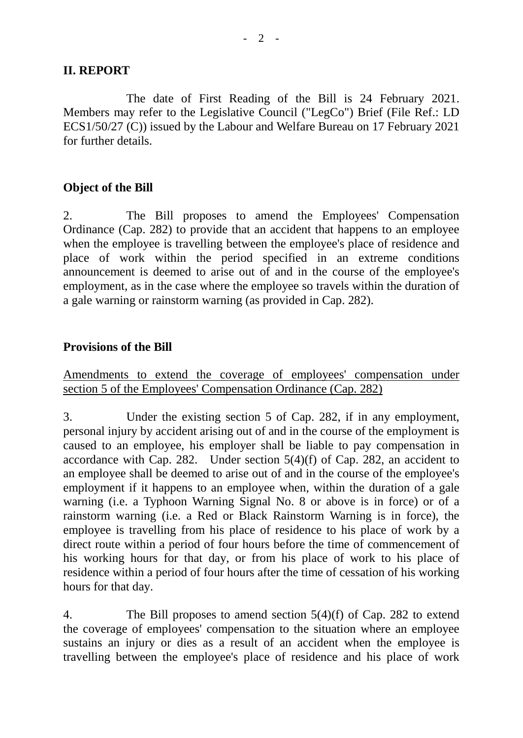# **II. REPORT**

The date of First Reading of the Bill is 24 February 2021. Members may refer to the Legislative Council ("LegCo") Brief (File Ref.: LD ECS1/50/27 (C)) issued by the Labour and Welfare Bureau on 17 February 2021 for further details.

# **Object of the Bill**

2. The Bill proposes to amend the Employees' Compensation Ordinance (Cap. 282) to provide that an accident that happens to an employee when the employee is travelling between the employee's place of residence and place of work within the period specified in an extreme conditions announcement is deemed to arise out of and in the course of the employee's employment, as in the case where the employee so travels within the duration of a gale warning or rainstorm warning (as provided in Cap. 282).

# **Provisions of the Bill**

Amendments to extend the coverage of employees' compensation under section 5 of the Employees' Compensation Ordinance (Cap. 282)

3. Under the existing section 5 of Cap. 282, if in any employment, personal injury by accident arising out of and in the course of the employment is caused to an employee, his employer shall be liable to pay compensation in accordance with Cap. 282. Under section  $5(4)(f)$  of Cap. 282, an accident to an employee shall be deemed to arise out of and in the course of the employee's employment if it happens to an employee when, within the duration of a gale warning (i.e. a Typhoon Warning Signal No. 8 or above is in force) or of a rainstorm warning (i.e. a Red or Black Rainstorm Warning is in force), the employee is travelling from his place of residence to his place of work by a direct route within a period of four hours before the time of commencement of his working hours for that day, or from his place of work to his place of residence within a period of four hours after the time of cessation of his working hours for that day.

4. The Bill proposes to amend section 5(4)(f) of Cap. 282 to extend the coverage of employees' compensation to the situation where an employee sustains an injury or dies as a result of an accident when the employee is travelling between the employee's place of residence and his place of work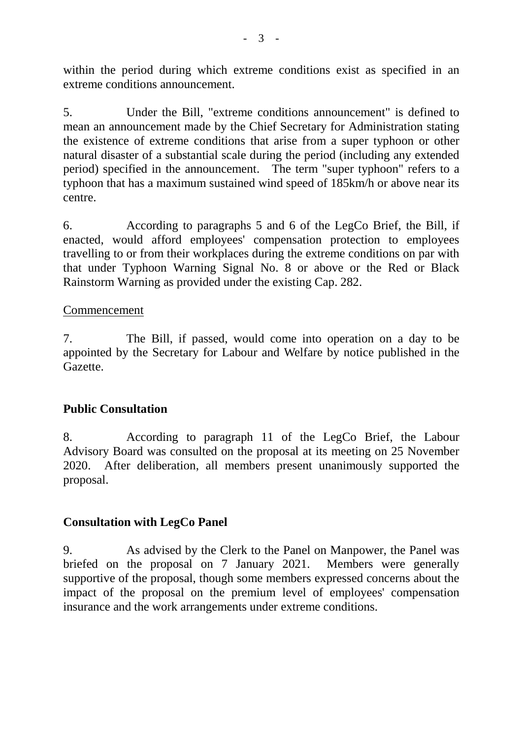within the period during which extreme conditions exist as specified in an extreme conditions announcement.

5. Under the Bill, "extreme conditions announcement" is defined to mean an announcement made by the Chief Secretary for Administration stating the existence of extreme conditions that arise from a super typhoon or other natural disaster of a substantial scale during the period (including any extended period) specified in the announcement. The term "super typhoon" refers to a typhoon that has a maximum sustained wind speed of 185km/h or above near its centre.

6. According to paragraphs 5 and 6 of the LegCo Brief, the Bill, if enacted, would afford employees' compensation protection to employees travelling to or from their workplaces during the extreme conditions on par with that under Typhoon Warning Signal No. 8 or above or the Red or Black Rainstorm Warning as provided under the existing Cap. 282.

#### Commencement

7. The Bill, if passed, would come into operation on a day to be appointed by the Secretary for Labour and Welfare by notice published in the Gazette.

# **Public Consultation**

8. According to paragraph 11 of the LegCo Brief, the Labour Advisory Board was consulted on the proposal at its meeting on 25 November 2020. After deliberation, all members present unanimously supported the proposal.

# **Consultation with LegCo Panel**

9. As advised by the Clerk to the Panel on Manpower, the Panel was briefed on the proposal on 7 January 2021. Members were generally supportive of the proposal, though some members expressed concerns about the impact of the proposal on the premium level of employees' compensation insurance and the work arrangements under extreme conditions.